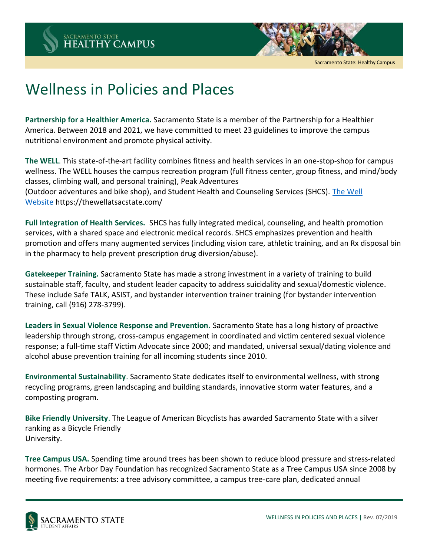

Sacramento State: Healthy Campus

## Wellness in Policies and Places

**Partnership for a Healthier America.** Sacramento State is a member of the Partnership for a Healthier America. Between 2018 and 2021, we have committed to meet 23 guidelines to improve the campus nutritional environment and promote physical activity.

**The WELL**. This state‐of‐the‐art facility combines fitness and health services in an one‐stop‐shop for campus wellness. The WELL houses the campus recreation program (full fitness center, group fitness, and mind/body classes, climbing wall, and personal training), Peak Adventures (Outdoor adventures and bike shop), and Student Health and Counseling Services (SHCS). [The Well](https://thewellatsacstate.com/)  [Website](https://thewellatsacstate.com/) https://thewellatsacstate.com/

**Full Integration of Health Services.** SHCS has fully integrated medical, counseling, and health promotion services, with a shared space and electronic medical records. SHCS emphasizes prevention and health promotion and offers many augmented services (including vision care, athletic training, and an Rx disposal bin in the pharmacy to help prevent prescription drug diversion/abuse).

**Gatekeeper Training.** Sacramento State has made a strong investment in a variety of training to build sustainable staff, faculty, and student leader capacity to address suicidality and sexual/domestic violence. These include Safe TALK, ASIST, and bystander intervention trainer training (for bystander intervention training, call (916) 278‐3799).

**Leaders in Sexual Violence Response and Prevention.** Sacramento State has a long history of proactive leadership through strong, cross‐campus engagement in coordinated and victim centered sexual violence response; a full‐time staff Victim Advocate since 2000; and mandated, universal sexual/dating violence and alcohol abuse prevention training for all incoming students since 2010.

**Environmental Sustainability**. Sacramento State dedicates itself to environmental wellness, with strong recycling programs, green landscaping and building standards, innovative storm water features, and a composting program.

**Bike Friendly University**. The League of American Bicyclists has awarded Sacramento State with a silver ranking as a Bicycle Friendly University.

Tree Campus USA. Spending time around trees has been shown to reduce blood pressure and stress-related hormones. The Arbor Day Foundation has recognized Sacramento State as a Tree Campus USA since 2008 by meeting five requirements: a tree advisory committee, a campus tree‐care plan, dedicated annual